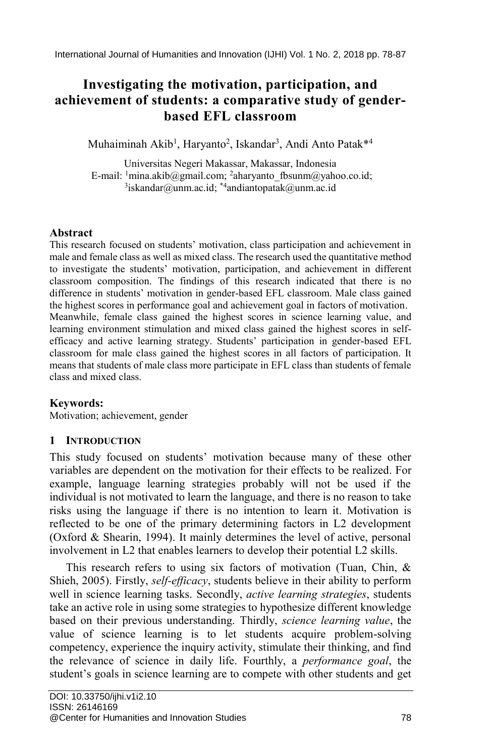# **Investigating the motivation, participation, and achievement of students: a comparative study of genderbased EFL classroom**

Muhaiminah Akib<sup>1</sup>, Haryanto<sup>2</sup>, Iskandar<sup>3</sup>, Andi Anto Patak<sup>\*4</sup>

Universitas Negeri Makassar, Makassar, Indonesia E-mail: <sup>1</sup>mina.akib@gmail.com; <sup>2</sup>aharyanto\_fbsunm@yahoo.co.id; <sup>3</sup>iskandar@unm.ac.id; <sup>\*4</sup>andiantopatak@unm.ac.id

### **Abstract**

This research focused on students' motivation, class participation and achievement in male and female class as well as mixed class. The research used the quantitative method to investigate the students' motivation, participation, and achievement in different classroom composition. The findings of this research indicated that there is no difference in students' motivation in gender-based EFL classroom. Male class gained the highest scores in performance goal and achievement goal in factors of motivation. Meanwhile, female class gained the highest scores in science learning value, and learning environment stimulation and mixed class gained the highest scores in selfefficacy and active learning strategy. Students' participation in gender-based EFL classroom for male class gained the highest scores in all factors of participation. It means that students of male class more participate in EFL class than students of female class and mixed class.

### **Keywords:**

Motivation; achievement, gender

### **1 INTRODUCTION**

This study focused on students' motivation because many of these other variables are dependent on the motivation for their effects to be realized. For example, language learning strategies probably will not be used if the individual is not motivated to learn the language, and there is no reason to take risks using the language if there is no intention to learn it. Motivation is reflected to be one of the primary determining factors in L2 development (Oxford & Shearin, 1994). It mainly determines the level of active, personal involvement in L2 that enables learners to develop their potential L2 skills.

This research refers to using six factors of motivation (Tuan, Chin, & Shieh, 2005). Firstly, *self-efficacy*, students believe in their ability to perform well in science learning tasks. Secondly, *active learning strategies*, students take an active role in using some strategies to hypothesize different knowledge based on their previous understanding. Thirdly, *science learning value*, the value of science learning is to let students acquire problem-solving competency, experience the inquiry activity, stimulate their thinking, and find the relevance of science in daily life. Fourthly, a *performance goal*, the student's goals in science learning are to compete with other students and get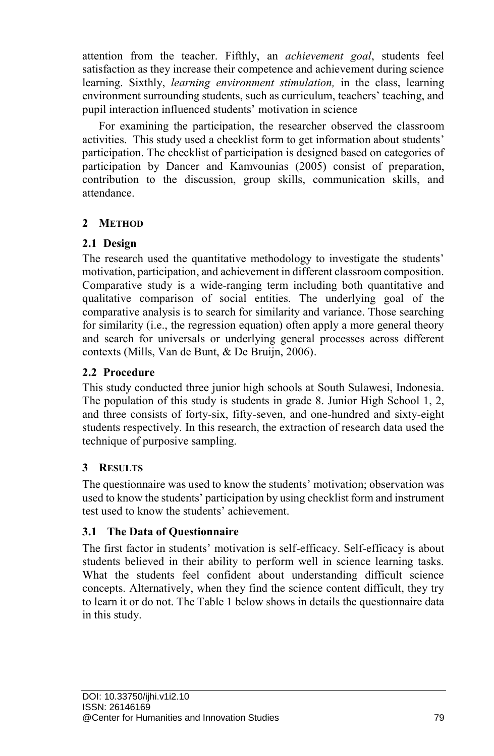attention from the teacher. Fifthly, an *achievement goal*, students feel satisfaction as they increase their competence and achievement during science learning. Sixthly, *learning environment stimulation,* in the class, learning environment surrounding students, such as curriculum, teachers' teaching, and pupil interaction influenced students' motivation in science

For examining the participation, the researcher observed the classroom activities. This study used a checklist form to get information about students' participation. The checklist of participation is designed based on categories of participation by Dancer and Kamvounias (2005) consist of preparation, contribution to the discussion, group skills, communication skills, and attendance.

# **2 METHOD**

### **2.1 Design**

The research used the quantitative methodology to investigate the students' motivation, participation, and achievement in different classroom composition. Comparative study is a wide-ranging term including both quantitative and qualitative comparison of social entities. The underlying goal of the comparative analysis is to search for similarity and variance. Those searching for similarity (i.e., the regression equation) often apply a more general theory and search for universals or underlying general processes across different contexts (Mills, Van de Bunt, & De Bruijn, 2006).

## **2.2 Procedure**

This study conducted three junior high schools at South Sulawesi, Indonesia. The population of this study is students in grade 8. Junior High School 1, 2, and three consists of forty-six, fifty-seven, and one-hundred and sixty-eight students respectively. In this research, the extraction of research data used the technique of purposive sampling.

# **3 RESULTS**

The questionnaire was used to know the students' motivation; observation was used to know the students' participation by using checklist form and instrument test used to know the students' achievement.

### **3.1 The Data of Questionnaire**

The first factor in students' motivation is self-efficacy. Self-efficacy is about students believed in their ability to perform well in science learning tasks. What the students feel confident about understanding difficult science concepts. Alternatively, when they find the science content difficult, they try to learn it or do not. The Table 1 below shows in details the questionnaire data in this study.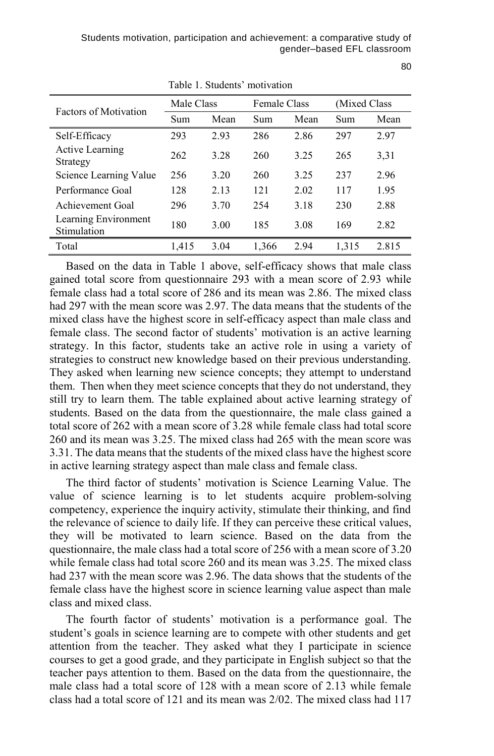|                                     | Table 1. Buddents monvalion |      |                     |      |               |       |
|-------------------------------------|-----------------------------|------|---------------------|------|---------------|-------|
| <b>Factors of Motivation</b>        | Male Class                  |      | <b>Female Class</b> |      | (Mixed Class) |       |
|                                     | Sum                         | Mean | Sum                 | Mean | Sum           | Mean  |
| Self-Efficacy                       | 293                         | 2.93 | 286                 | 2.86 | 297           | 2.97  |
| <b>Active Learning</b><br>Strategy  | 262                         | 3.28 | 260                 | 3.25 | 265           | 3,31  |
| Science Learning Value              | 256                         | 3.20 | 260                 | 3.25 | 237           | 2.96  |
| Performance Goal                    | 128                         | 2.13 | 121                 | 2.02 | 117           | 1.95  |
| Achievement Goal                    | 296                         | 3.70 | 254                 | 3.18 | 230           | 2.88  |
| Learning Environment<br>Stimulation | 180                         | 3.00 | 185                 | 3.08 | 169           | 2.82  |
| Total                               | 1,415                       | 3.04 | 1,366               | 2.94 | 1,315         | 2.815 |

Table 1. Students' motivation

Based on the data in Table 1 above, self-efficacy shows that male class gained total score from questionnaire 293 with a mean score of 2.93 while female class had a total score of 286 and its mean was 2.86. The mixed class had 297 with the mean score was 2.97. The data means that the students of the mixed class have the highest score in self-efficacy aspect than male class and female class. The second factor of students' motivation is an active learning strategy. In this factor, students take an active role in using a variety of strategies to construct new knowledge based on their previous understanding. They asked when learning new science concepts; they attempt to understand them. Then when they meet science concepts that they do not understand, they still try to learn them. The table explained about active learning strategy of students. Based on the data from the questionnaire, the male class gained a total score of 262 with a mean score of 3.28 while female class had total score 260 and its mean was 3.25. The mixed class had 265 with the mean score was 3.31. The data means that the students of the mixed class have the highest score in active learning strategy aspect than male class and female class.

The third factor of students' motivation is Science Learning Value. The value of science learning is to let students acquire problem-solving competency, experience the inquiry activity, stimulate their thinking, and find the relevance of science to daily life. If they can perceive these critical values, they will be motivated to learn science. Based on the data from the questionnaire, the male class had a total score of 256 with a mean score of 3.20 while female class had total score 260 and its mean was 3.25. The mixed class had 237 with the mean score was 2.96. The data shows that the students of the female class have the highest score in science learning value aspect than male class and mixed class.

The fourth factor of students' motivation is a performance goal. The student's goals in science learning are to compete with other students and get attention from the teacher. They asked what they I participate in science courses to get a good grade, and they participate in English subject so that the teacher pays attention to them. Based on the data from the questionnaire, the male class had a total score of 128 with a mean score of 2.13 while female class had a total score of 121 and its mean was 2/02. The mixed class had 117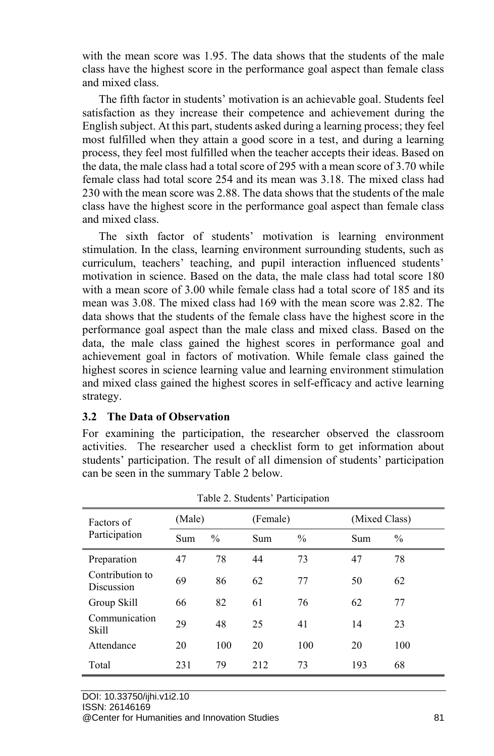with the mean score was 1.95. The data shows that the students of the male class have the highest score in the performance goal aspect than female class and mixed class.

The fifth factor in students' motivation is an achievable goal. Students feel satisfaction as they increase their competence and achievement during the English subject. At this part, students asked during a learning process; they feel most fulfilled when they attain a good score in a test, and during a learning process, they feel most fulfilled when the teacher accepts their ideas. Based on the data, the male class had a total score of 295 with a mean score of 3.70 while female class had total score 254 and its mean was 3.18. The mixed class had 230 with the mean score was 2.88. The data shows that the students of the male class have the highest score in the performance goal aspect than female class and mixed class.

The sixth factor of students' motivation is learning environment stimulation. In the class, learning environment surrounding students, such as curriculum, teachers' teaching, and pupil interaction influenced students' motivation in science. Based on the data, the male class had total score 180 with a mean score of 3.00 while female class had a total score of 185 and its mean was 3.08. The mixed class had 169 with the mean score was 2.82. The data shows that the students of the female class have the highest score in the performance goal aspect than the male class and mixed class. Based on the data, the male class gained the highest scores in performance goal and achievement goal in factors of motivation. While female class gained the highest scores in science learning value and learning environment stimulation and mixed class gained the highest scores in self-efficacy and active learning strategy.

#### **3.2 The Data of Observation**

For examining the participation, the researcher observed the classroom activities. The researcher used a checklist form to get information about students' participation. The result of all dimension of students' participation can be seen in the summary Table 2 below.

| Factors of<br>Participation   | (Male) |               | (Female) |      | (Mixed Class) |      |
|-------------------------------|--------|---------------|----------|------|---------------|------|
|                               | Sum    | $\frac{0}{0}$ | Sum      | $\%$ | Sum           | $\%$ |
| Preparation                   | 47     | 78            | 44       | 73   | 47            | 78   |
| Contribution to<br>Discussion | 69     | 86            | 62       | 77   | 50            | 62   |
| Group Skill                   | 66     | 82            | 61       | 76   | 62            | 77   |
| Communication<br><b>Skill</b> | 29     | 48            | 25       | 41   | 14            | 23   |
| Attendance                    | 20     | 100           | 20       | 100  | 20            | 100  |
| Total                         | 231    | 79            | 212      | 73   | 193           | 68   |

Table 2. Students' Participation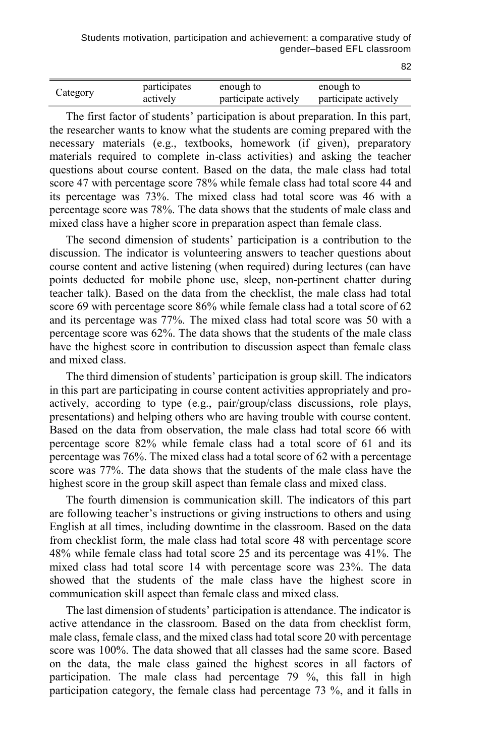| Category | participates | enough to            | enough to            |  |
|----------|--------------|----------------------|----------------------|--|
|          | actively     | participate actively | participate actively |  |

The first factor of students' participation is about preparation. In this part, the researcher wants to know what the students are coming prepared with the necessary materials (e.g., textbooks, homework (if given), preparatory materials required to complete in-class activities) and asking the teacher questions about course content. Based on the data, the male class had total score 47 with percentage score 78% while female class had total score 44 and its percentage was 73%. The mixed class had total score was 46 with a percentage score was 78%. The data shows that the students of male class and mixed class have a higher score in preparation aspect than female class.

The second dimension of students' participation is a contribution to the discussion. The indicator is volunteering answers to teacher questions about course content and active listening (when required) during lectures (can have points deducted for mobile phone use, sleep, non-pertinent chatter during teacher talk). Based on the data from the checklist, the male class had total score 69 with percentage score 86% while female class had a total score of 62 and its percentage was 77%. The mixed class had total score was 50 with a percentage score was 62%. The data shows that the students of the male class have the highest score in contribution to discussion aspect than female class and mixed class.

The third dimension of students' participation is group skill. The indicators in this part are participating in course content activities appropriately and proactively, according to type (e.g., pair/group/class discussions, role plays, presentations) and helping others who are having trouble with course content. Based on the data from observation, the male class had total score 66 with percentage score 82% while female class had a total score of 61 and its percentage was 76%. The mixed class had a total score of 62 with a percentage score was 77%. The data shows that the students of the male class have the highest score in the group skill aspect than female class and mixed class.

The fourth dimension is communication skill. The indicators of this part are following teacher's instructions or giving instructions to others and using English at all times, including downtime in the classroom. Based on the data from checklist form, the male class had total score 48 with percentage score 48% while female class had total score 25 and its percentage was 41%. The mixed class had total score 14 with percentage score was 23%. The data showed that the students of the male class have the highest score in communication skill aspect than female class and mixed class.

The last dimension of students' participation is attendance. The indicator is active attendance in the classroom. Based on the data from checklist form, male class, female class, and the mixed class had total score 20 with percentage score was 100%. The data showed that all classes had the same score. Based on the data, the male class gained the highest scores in all factors of participation. The male class had percentage 79 %, this fall in high participation category, the female class had percentage 73 %, and it falls in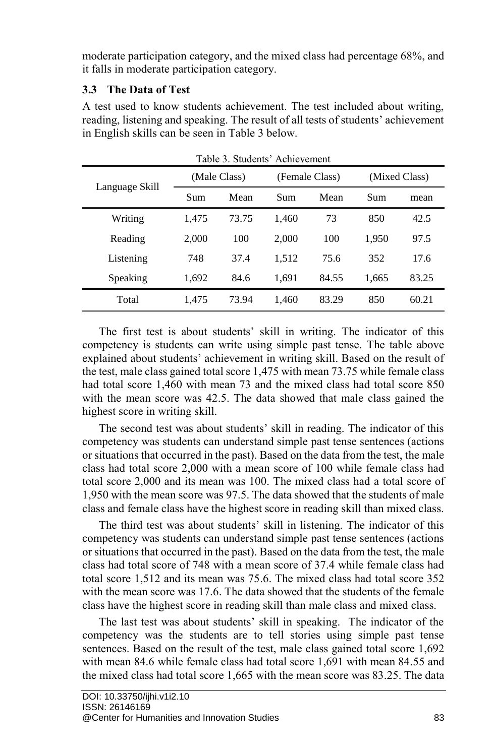moderate participation category, and the mixed class had percentage 68%, and it falls in moderate participation category.

## **3.3 The Data of Test**

A test used to know students achievement. The test included about writing, reading, listening and speaking. The result of all tests of students' achievement in English skills can be seen in Table 3 below.

| Language Skill |       | Table 3. Students' Achievement<br>(Male Class) |       | (Female Class) |       | (Mixed Class) |  |
|----------------|-------|------------------------------------------------|-------|----------------|-------|---------------|--|
|                | Sum   | Mean                                           | Sum   | Mean           | Sum   | mean          |  |
| Writing        | 1,475 | 73.75                                          | 1,460 | 73             | 850   | 42.5          |  |
| Reading        | 2,000 | 100                                            | 2,000 | 100            | 1,950 | 97.5          |  |
| Listening      | 748   | 37.4                                           | 1,512 | 75.6           | 352   | 17.6          |  |
| Speaking       | 1,692 | 84.6                                           | 1,691 | 84.55          | 1,665 | 83.25         |  |
| Total          | 1,475 | 73.94                                          | 1,460 | 83.29          | 850   | 60.21         |  |

The first test is about students' skill in writing. The indicator of this competency is students can write using simple past tense. The table above explained about students' achievement in writing skill. Based on the result of the test, male class gained total score 1,475 with mean 73.75 while female class had total score 1,460 with mean 73 and the mixed class had total score 850 with the mean score was 42.5. The data showed that male class gained the highest score in writing skill.

The second test was about students' skill in reading. The indicator of this competency was students can understand simple past tense sentences (actions or situations that occurred in the past). Based on the data from the test, the male class had total score 2,000 with a mean score of 100 while female class had total score 2,000 and its mean was 100. The mixed class had a total score of 1,950 with the mean score was 97.5. The data showed that the students of male class and female class have the highest score in reading skill than mixed class.

The third test was about students' skill in listening. The indicator of this competency was students can understand simple past tense sentences (actions or situations that occurred in the past). Based on the data from the test, the male class had total score of 748 with a mean score of 37.4 while female class had total score 1,512 and its mean was 75.6. The mixed class had total score 352 with the mean score was 17.6. The data showed that the students of the female class have the highest score in reading skill than male class and mixed class.

The last test was about students' skill in speaking. The indicator of the competency was the students are to tell stories using simple past tense sentences. Based on the result of the test, male class gained total score 1,692 with mean 84.6 while female class had total score 1,691 with mean 84.55 and the mixed class had total score 1,665 with the mean score was 83.25. The data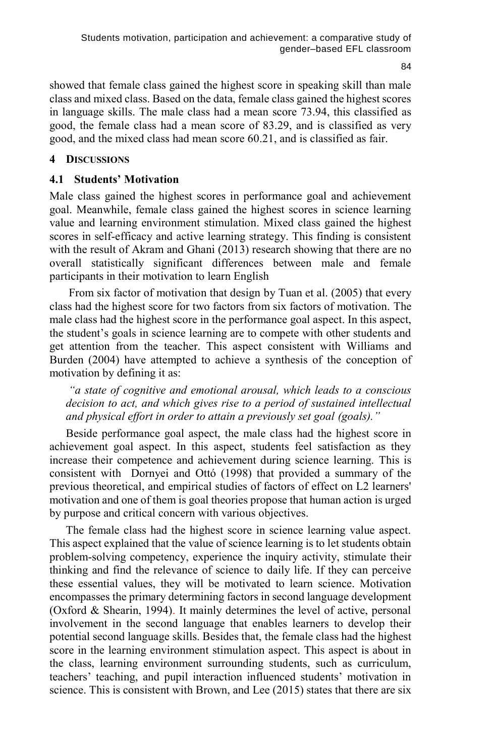84

showed that female class gained the highest score in speaking skill than male class and mixed class. Based on the data, female class gained the highest scores in language skills. The male class had a mean score 73.94, this classified as good, the female class had a mean score of 83.29, and is classified as very good, and the mixed class had mean score 60.21, and is classified as fair.

# **4 DISCUSSIONS**

# **4.1 Students' Motivation**

Male class gained the highest scores in performance goal and achievement goal. Meanwhile, female class gained the highest scores in science learning value and learning environment stimulation. Mixed class gained the highest scores in self-efficacy and active learning strategy. This finding is consistent with the result of Akram and Ghani (2013) research showing that there are no overall statistically significant differences between male and female participants in their motivation to learn English

From six factor of motivation that design by Tuan et al. (2005) that every class had the highest score for two factors from six factors of motivation. The male class had the highest score in the performance goal aspect. In this aspect, the student's goals in science learning are to compete with other students and get attention from the teacher. This aspect consistent with Williams and Burden (2004) have attempted to achieve a synthesis of the conception of motivation by defining it as:

*"a state of cognitive and emotional arousal, which leads to a conscious*  decision to act, and which gives rise to a period of sustained intellectual *and physical effort in order to attain a previously set goal (goals)."*

Beside performance goal aspect, the male class had the highest score in achievement goal aspect. In this aspect, students feel satisfaction as they increase their competence and achievement during science learning. This is consistent with Dornyei and Ottó (1998) that provided a summary of the previous theoretical, and empirical studies of factors of effect on L2 learners' motivation and one of them is goal theories propose that human action is urged by purpose and critical concern with various objectives.

The female class had the highest score in science learning value aspect. This aspect explained that the value of science learning is to let students obtain problem-solving competency, experience the inquiry activity, stimulate their thinking and find the relevance of science to daily life. If they can perceive these essential values, they will be motivated to learn science. Motivation encompasses the primary determining factors in second language development (Oxford & Shearin, 1994). It mainly determines the level of active, personal involvement in the second language that enables learners to develop their potential second language skills. Besides that, the female class had the highest score in the learning environment stimulation aspect. This aspect is about in the class, learning environment surrounding students, such as curriculum, teachers' teaching, and pupil interaction influenced students' motivation in science. This is consistent with Brown, and Lee (2015) states that there are six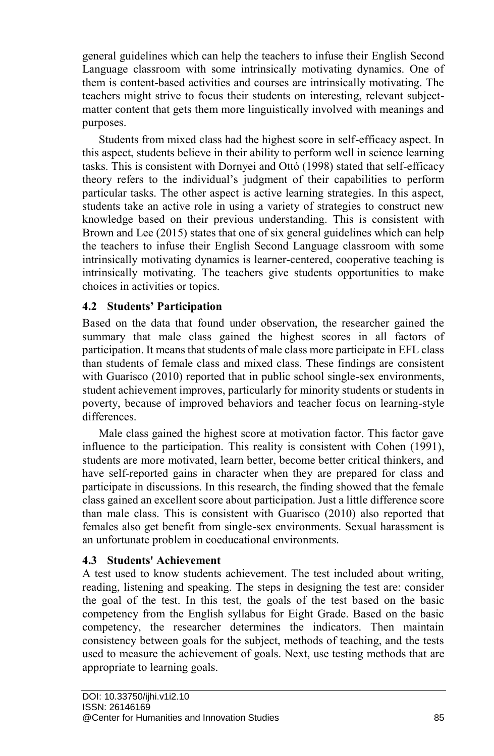general guidelines which can help the teachers to infuse their English Second Language classroom with some intrinsically motivating dynamics. One of them is content-based activities and courses are intrinsically motivating. The teachers might strive to focus their students on interesting, relevant subjectmatter content that gets them more linguistically involved with meanings and purposes.

Students from mixed class had the highest score in self-efficacy aspect. In this aspect, students believe in their ability to perform well in science learning tasks. This is consistent with Dornyei and Ottó (1998) stated that self-efficacy theory refers to the individual's judgment of their capabilities to perform particular tasks. The other aspect is active learning strategies. In this aspect, students take an active role in using a variety of strategies to construct new knowledge based on their previous understanding. This is consistent with Brown and Lee (2015) states that one of six general guidelines which can help the teachers to infuse their English Second Language classroom with some intrinsically motivating dynamics is learner-centered, cooperative teaching is intrinsically motivating. The teachers give students opportunities to make choices in activities or topics.

### **4.2 Students' Participation**

Based on the data that found under observation, the researcher gained the summary that male class gained the highest scores in all factors of participation. It means that students of male class more participate in EFL class than students of female class and mixed class. These findings are consistent with Guarisco (2010) reported that in public school single-sex environments, student achievement improves, particularly for minority students or students in poverty, because of improved behaviors and teacher focus on learning-style differences.

Male class gained the highest score at motivation factor. This factor gave influence to the participation. This reality is consistent with Cohen (1991), students are more motivated, learn better, become better critical thinkers, and have self-reported gains in character when they are prepared for class and participate in discussions. In this research, the finding showed that the female class gained an excellent score about participation. Just a little difference score than male class. This is consistent with Guarisco (2010) also reported that females also get benefit from single-sex environments. Sexual harassment is an unfortunate problem in coeducational environments.

#### **4.3 Students' Achievement**

A test used to know students achievement. The test included about writing, reading, listening and speaking. The steps in designing the test are: consider the goal of the test. In this test, the goals of the test based on the basic competency from the English syllabus for Eight Grade. Based on the basic competency, the researcher determines the indicators. Then maintain consistency between goals for the subject, methods of teaching, and the tests used to measure the achievement of goals. Next, use testing methods that are appropriate to learning goals.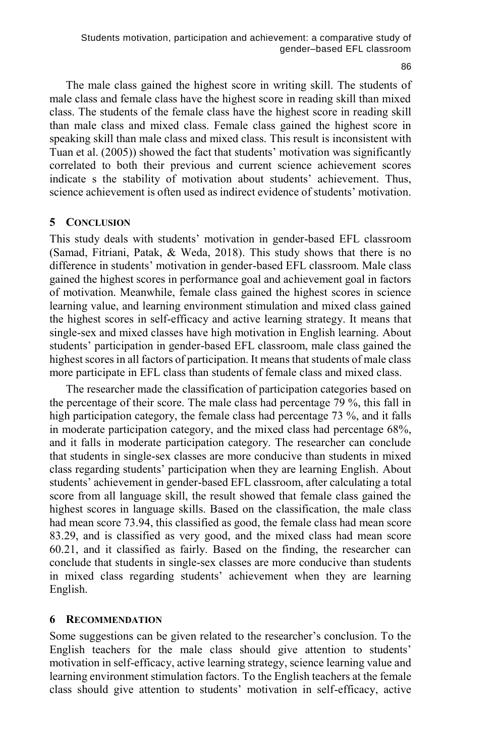86

The male class gained the highest score in writing skill. The students of male class and female class have the highest score in reading skill than mixed class. The students of the female class have the highest score in reading skill than male class and mixed class. Female class gained the highest score in speaking skill than male class and mixed class. This result is inconsistent with Tuan et al. (2005)) showed the fact that students' motivation was significantly correlated to both their previous and current science achievement scores indicate s the stability of motivation about students' achievement. Thus, science achievement is often used as indirect evidence of students' motivation.

#### **5 CONCLUSION**

This study deals with students' motivation in gender-based EFL classroom (Samad, Fitriani, Patak, & Weda, 2018). This study shows that there is no difference in students' motivation in gender-based EFL classroom. Male class gained the highest scores in performance goal and achievement goal in factors of motivation. Meanwhile, female class gained the highest scores in science learning value, and learning environment stimulation and mixed class gained the highest scores in self-efficacy and active learning strategy. It means that single-sex and mixed classes have high motivation in English learning. About students' participation in gender-based EFL classroom, male class gained the highest scores in all factors of participation. It means that students of male class more participate in EFL class than students of female class and mixed class.

The researcher made the classification of participation categories based on the percentage of their score. The male class had percentage 79 %, this fall in high participation category, the female class had percentage 73 %, and it falls in moderate participation category, and the mixed class had percentage 68%, and it falls in moderate participation category. The researcher can conclude that students in single-sex classes are more conducive than students in mixed class regarding students' participation when they are learning English. About students' achievement in gender-based EFL classroom, after calculating a total score from all language skill, the result showed that female class gained the highest scores in language skills. Based on the classification, the male class had mean score 73.94, this classified as good, the female class had mean score 83.29, and is classified as very good, and the mixed class had mean score 60.21, and it classified as fairly. Based on the finding, the researcher can conclude that students in single-sex classes are more conducive than students in mixed class regarding students' achievement when they are learning English.

#### **6 RECOMMENDATION**

Some suggestions can be given related to the researcher's conclusion. To the English teachers for the male class should give attention to students' motivation in self-efficacy, active learning strategy, science learning value and learning environment stimulation factors. To the English teachers at the female class should give attention to students' motivation in self-efficacy, active